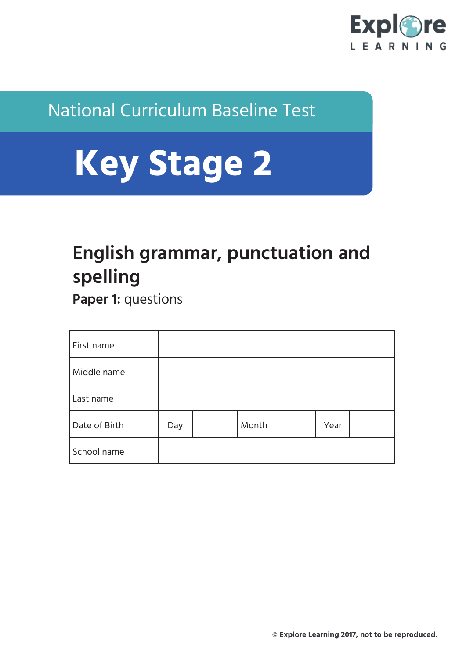

## National Curriculum Baseline Test

# **Key Stage 2**

# **English grammar, punctuation and spelling**

**Paper 1: questions** 

| First name    |     |       |      |  |
|---------------|-----|-------|------|--|
| Middle name   |     |       |      |  |
| Last name     |     |       |      |  |
| Date of Birth | Day | Month | Year |  |
| School name   |     |       |      |  |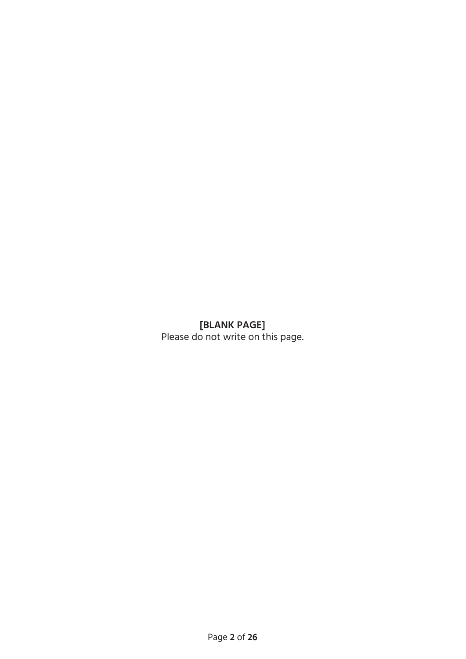### **[BLANK PAGE]**

Please do not write on this page.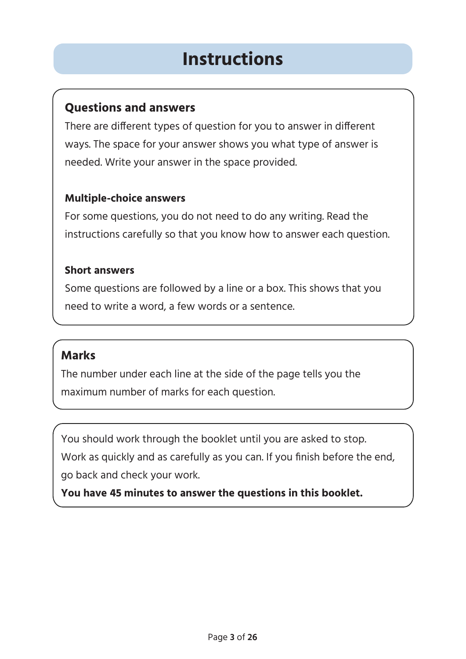# **Instructions**

### **Questions and answers**

There are different types of question for you to answer in different ways. The space for your answer shows you what type of answer is needed. Write your answer in the space provided.

### **Multiple-choice answers**

For some questions, you do not need to do any writing. Read the instructions carefully so that you know how to answer each question.

### **Short answers**

Some questions are followed by a line or a box. This shows that you need to write a word, a few words or a sentence.

### **Marks**

The number under each line at the side of the page tells you the maximum number of marks for each question.

You should work through the booklet until you are asked to stop.

Work as quickly and as carefully as you can. If you finish before the end, go back and check your work.

**You have 45 minutes to answer the questions in this booklet.**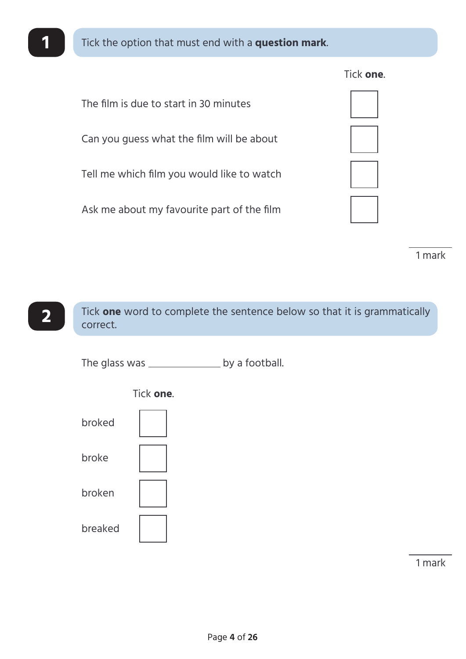

The film is due to start in 30 minutes

Can you guess what the film will be about

Tell me which film you would like to watch

Ask me about my favourite part of the film

1 mark



The glass was \_\_\_\_\_\_\_\_\_\_\_\_\_\_\_\_\_ by a football.



Tick **one**.

1 mark

Tick **one**.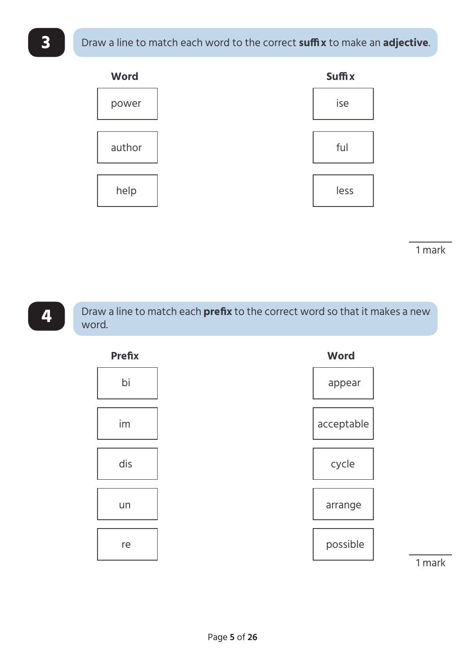

1 mark



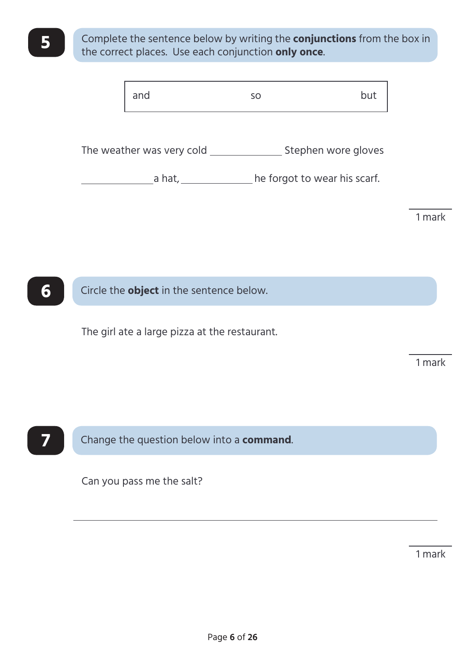**5** Complete the sentence below by writing the **conjunctions** from the box in the correct places. Use each conjunction **only once**.

|        | and                       | SO                           | but |  |
|--------|---------------------------|------------------------------|-----|--|
|        |                           |                              |     |  |
|        | The weather was very cold | Stephen wore gloves          |     |  |
| a hat, |                           | he forgot to wear his scarf. |     |  |
|        |                           |                              |     |  |
|        |                           |                              |     |  |



The girl ate a large pizza at the restaurant.

1 mark

1 mark



**7** Change the question below into a **command**.

Can you pass me the salt?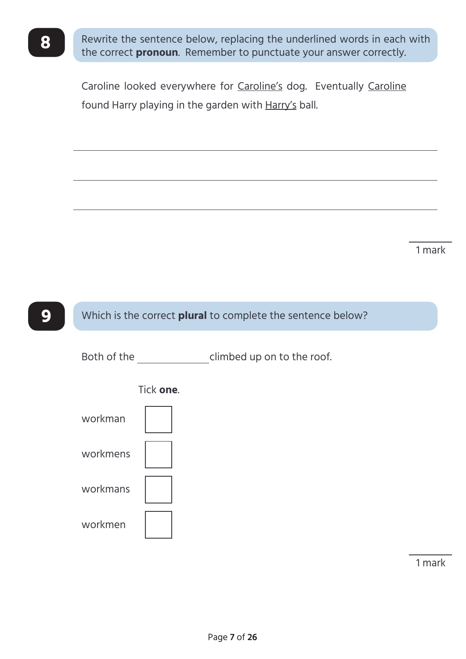**8** Rewrite the sentence below, replacing the underlined words in each with the correct **pronoun**. Remember to punctuate your answer correctly.

> Caroline looked everywhere for Caroline's dog. Eventually Caroline found Harry playing in the garden with Harry's ball.

> > 1 mark

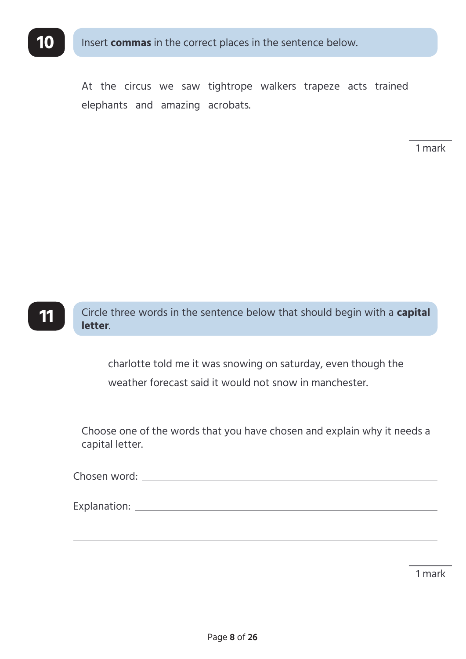

Insert **commas** in the correct places in the sentence below.

At the circus we saw tightrope walkers trapeze acts trained elephants and amazing acrobats.

1 mark



charlotte told me it was snowing on saturday, even though the weather forecast said it would not snow in manchester.

Choose one of the words that you have chosen and explain why it needs a capital letter.

Chosen word:

Explanation: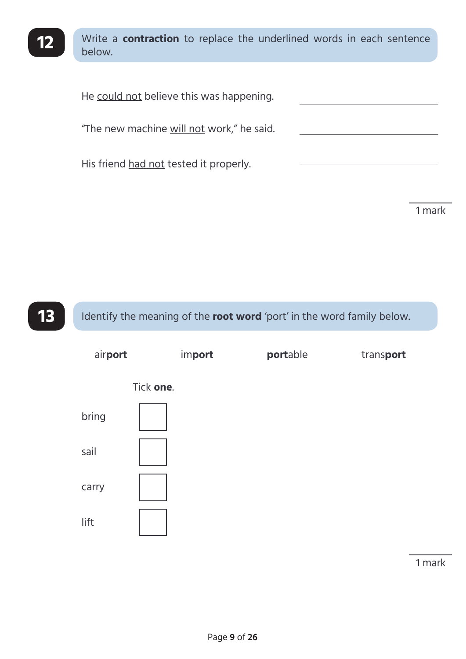

12 Write a **contraction** to replace the underlined words in each sentence below.

He could not believe this was happening. "The new machine will not work," he said. His friend had not tested it properly.

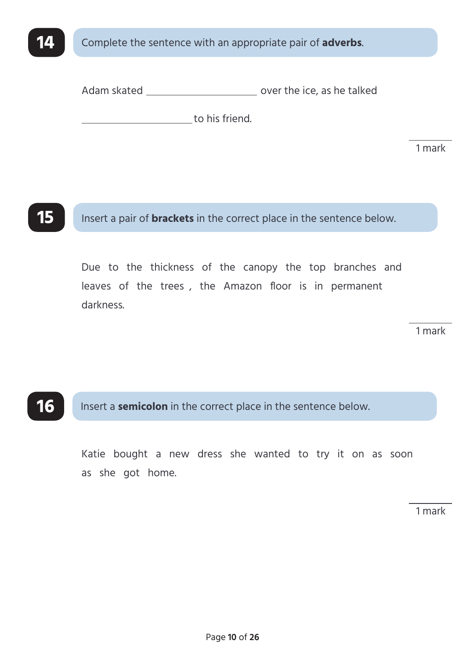

Adam skated \_\_\_\_\_\_\_\_\_\_\_\_\_\_\_\_\_\_\_\_\_\_\_\_\_\_\_\_\_\_\_\_\_ over the ice, as he talked

to his friend.

1 mark

**15** Insert a pair of **brackets** in the correct place in the sentence below.

Due to the thickness of the canopy the top branches and leaves of the trees , the Amazon floor is in permanent darkness.

1 mark

### **16** Insert a **semicolon** in the correct place in the sentence below.

Katie bought a new dress she wanted to try it on as soon as she got home.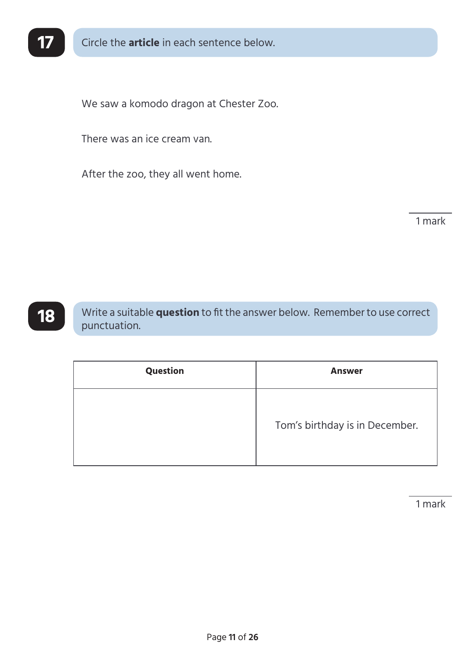

We saw a komodo dragon at Chester Zoo.

There was an ice cream van.

After the zoo, they all went home.

1 mark

**18** Write a suitable **question** to fit the answer below. Remember to use correct punctuation.

| Question | <b>Answer</b>                  |  |
|----------|--------------------------------|--|
|          | Tom's birthday is in December. |  |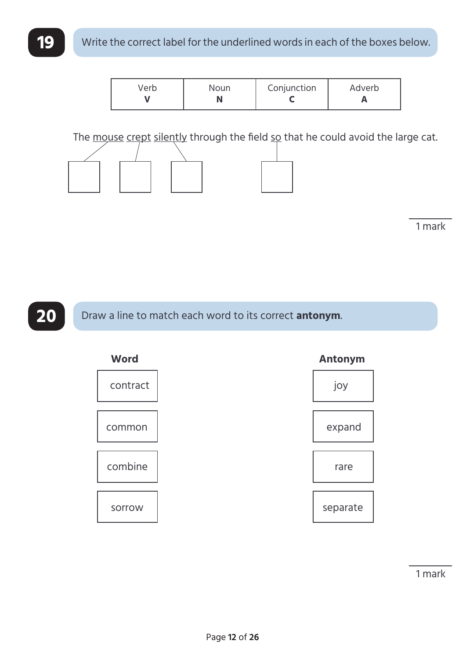| /erb | Noun | Conjunction | Adverb |
|------|------|-------------|--------|
|------|------|-------------|--------|

The mouse crept silently through the field so that he could avoid the large cat.



1 mark

**20** Draw a line to match each word to its correct **antonym**.

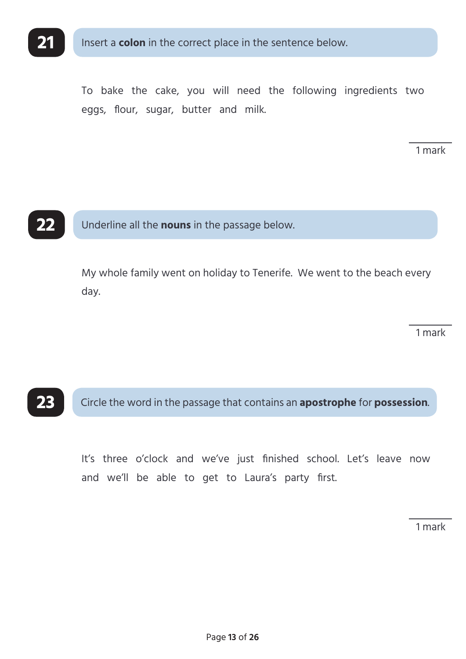

To bake the cake, you will need the following ingredients two eggs, flour, sugar, butter and milk.

1 mark



**22** Underline all the **nouns** in the passage below.

My whole family went on holiday to Tenerife. We went to the beach every day.

1 mark

### **23** Circle the word in the passage that contains an **apostrophe** for **possession**.

It's three o'clock and we've just finished school. Let's leave now and we'll be able to get to Laura's party first.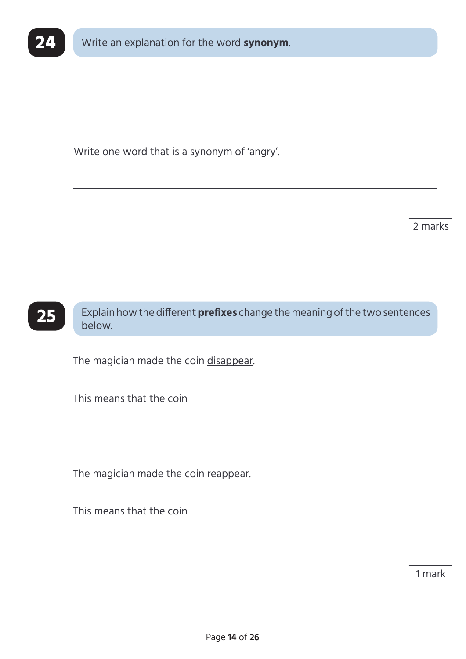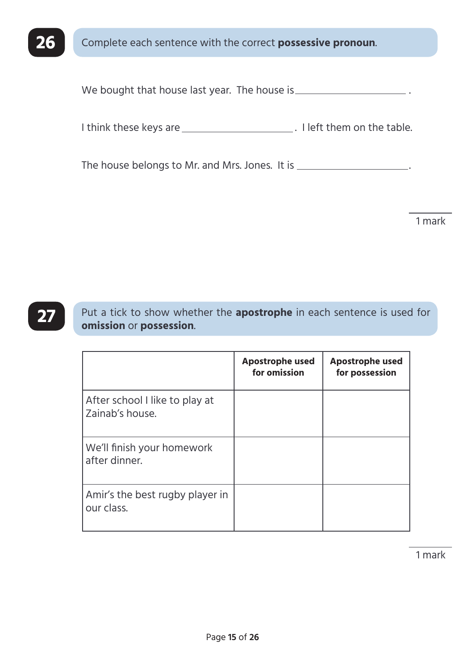

We bought that house last year. The house is \_\_\_\_\_\_\_\_\_\_\_\_\_\_\_\_\_\_\_\_\_\_\_.

I think these keys are \_\_\_\_\_\_\_\_\_\_\_\_\_\_\_\_\_\_\_\_\_\_\_\_\_\_\_. I left them on the table.

The house belongs to Mr. and Mrs. Jones. It is \_\_\_\_\_\_\_\_\_\_\_\_\_\_\_\_\_\_\_\_.

1 mark

**27** Put a tick to show whether the **apostrophe** in each sentence is used for **omission** or **possession**.

|                                                   | <b>Apostrophe used</b><br>for omission | <b>Apostrophe used</b><br>for possession |
|---------------------------------------------------|----------------------------------------|------------------------------------------|
| After school I like to play at<br>Zainab's house. |                                        |                                          |
| We'll finish your homework<br>after dinner.       |                                        |                                          |
| Amir's the best rugby player in<br>our class.     |                                        |                                          |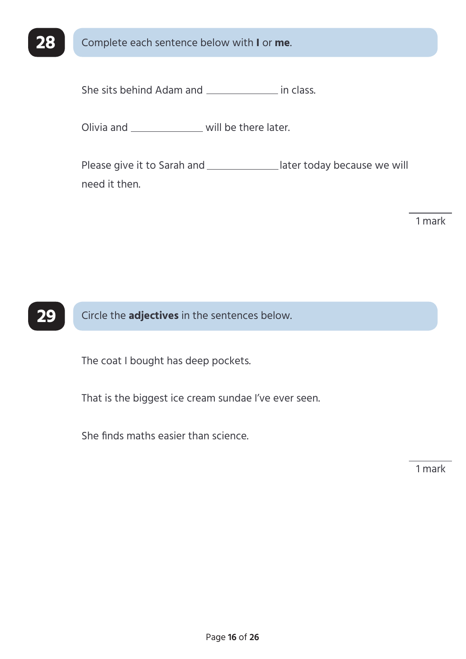

**28** Complete each sentence below with **I** or **me**.

She sits behind Adam and **in class**.

Olivia and \_\_\_\_\_\_\_\_\_\_\_\_\_\_\_ will be there later.

Please give it to Sarah and \_\_\_\_\_\_\_\_\_\_\_\_\_\_later today because we will need it then.

1 mark



The coat I bought has deep pockets.

That is the biggest ice cream sundae I've ever seen.

She finds maths easier than science.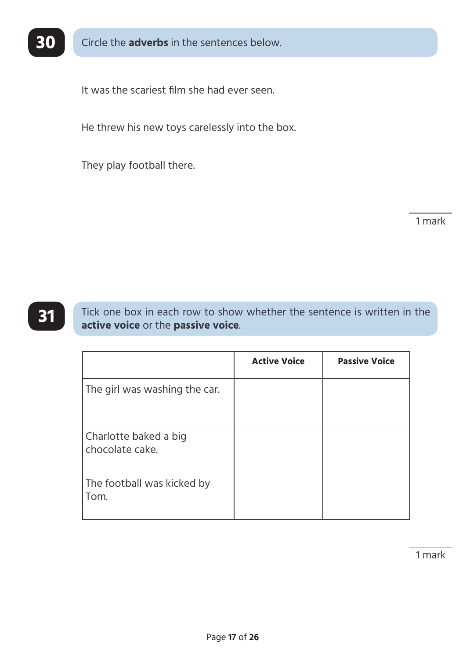

**30** Circle the **adverbs** in the sentences below.

It was the scariest film she had ever seen.

He threw his new toys carelessly into the box.

They play football there.

1 mark

**31** Tick one box in each row to show whether the sentence is written in the **active voice** or the **passive voice**.

|                                          | <b>Active Voice</b> | <b>Passive Voice</b> |
|------------------------------------------|---------------------|----------------------|
| The girl was washing the car.            |                     |                      |
| Charlotte baked a big<br>chocolate cake. |                     |                      |
| The football was kicked by<br>Tom.       |                     |                      |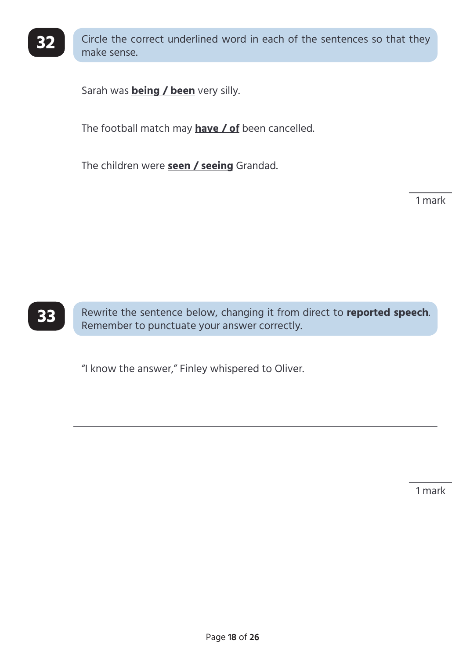

**32** Circle the correct underlined word in each of the sentences so that they make sense.

Sarah was **being / been** very silly.

The football match may **have / of** been cancelled.

The children were **seen / seeing** Grandad.

1 mark



**33** Rewrite the sentence below, changing it from direct to **reported speech**. Remember to punctuate your answer correctly.

"I know the answer," Finley whispered to Oliver.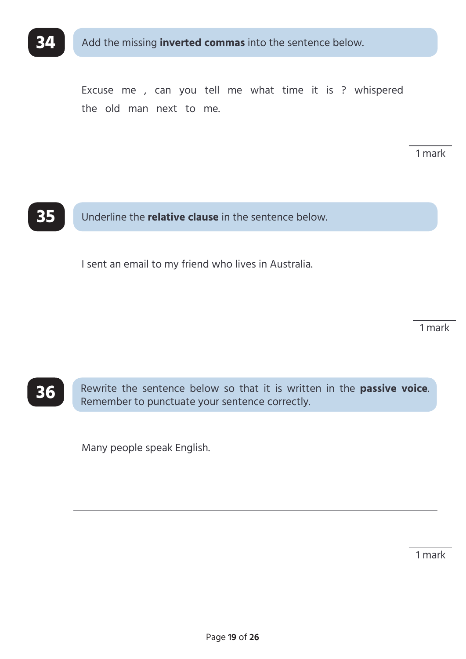

Excuse me , can you tell me what time it is ? whispered the old man next to me.

1 mark



**35** Underline the **relative clause** in the sentence below.

I sent an email to my friend who lives in Australia.

1 mark

**36** Rewrite the sentence below so that it is written in the **passive voice**. Remember to punctuate your sentence correctly.

Many people speak English.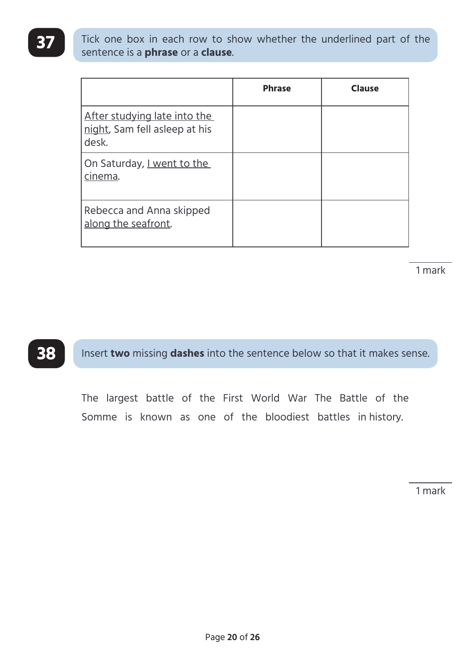**37** Tick one box in each row to show whether the underlined part of the sentence is a **phrase** or a **clause**.

|                                                                        | <b>Phrase</b> | <b>Clause</b> |
|------------------------------------------------------------------------|---------------|---------------|
| After studying late into the<br>night, Sam fell asleep at his<br>desk. |               |               |
| On Saturday, I went to the<br>cinema.                                  |               |               |
| Rebecca and Anna skipped<br>along the seafront.                        |               |               |

1 mark

**38** Insert **two** missing **dashes** into the sentence below so that it makes sense.

The largest battle of the First World War The Battle of the Somme is known as one of the bloodiest battles in history.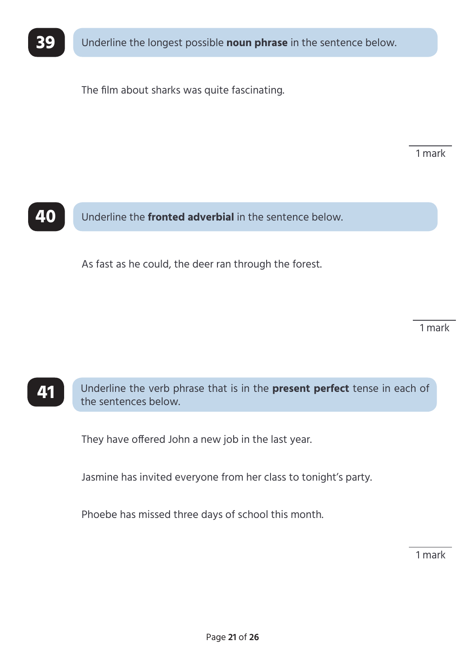

**39** Underline the longest possible **noun phrase** in the sentence below.

The film about sharks was quite fascinating.

1 mark



**40** Underline the **fronted adverbial** in the sentence below.

As fast as he could, the deer ran through the forest.

1 mark

### **41** Underline the verb phrase that is in the **present perfect** tense in each of the sentences below.

They have offered John a new job in the last year.

Jasmine has invited everyone from her class to tonight's party.

Phoebe has missed three days of school this month.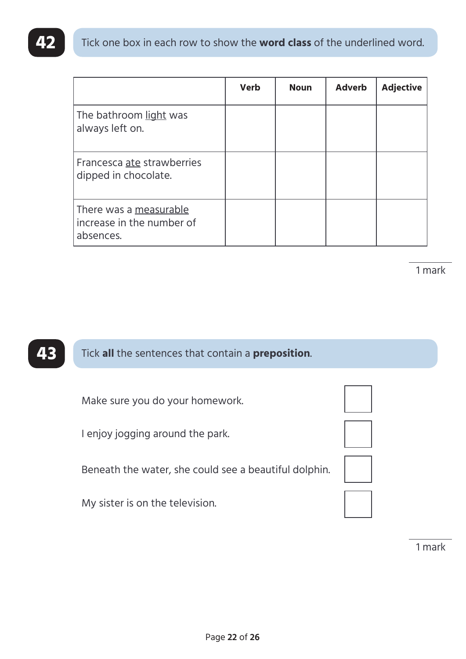|                                                                  | <b>Verb</b> | <b>Noun</b> | <b>Adverb</b> | <b>Adjective</b> |
|------------------------------------------------------------------|-------------|-------------|---------------|------------------|
| The bathroom light was<br>always left on.                        |             |             |               |                  |
| Francesca ate strawberries<br>dipped in chocolate.               |             |             |               |                  |
| There was a measurable<br>increase in the number of<br>absences. |             |             |               |                  |

1 mark

### **43** Tick **all** the sentences that contain a **preposition**.

Make sure you do your homework.

I enjoy jogging around the park.

Beneath the water, she could see a beautiful dolphin.

My sister is on the television.



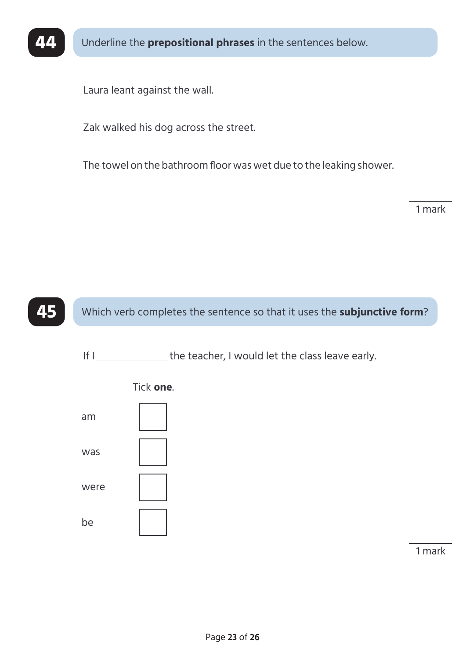

**44** Underline the **prepositional phrases** in the sentences below.

Laura leant against the wall.

Zak walked his dog across the street.

The towel on the bathroom floor was wet due to the leaking shower.

1 mark

**45** Which verb completes the sentence so that it uses the **subjunctive form**?

If I Same the teacher, I would let the class leave early.



Tick **one**.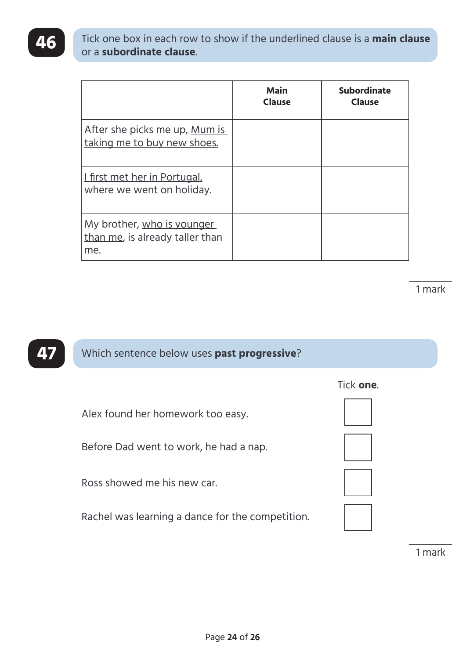**46** Tick one box in each row to show if the underlined clause is a **main clause**  or a **subordinate clause**.

|                                                                      | <b>Main</b><br><b>Clause</b> | <b>Subordinate</b><br><b>Clause</b> |
|----------------------------------------------------------------------|------------------------------|-------------------------------------|
| After she picks me up, Mum is<br>taking me to buy new shoes.         |                              |                                     |
| <u>I first met her in Portugal,</u><br>where we went on holiday.     |                              |                                     |
| My brother, who is younger<br>than me, is already taller than<br>me. |                              |                                     |

1 mark

**47** Which sentence below uses **past progressive**?

Alex found her homework too easy.

Before Dad went to work, he had a nap.

Ross showed me his new car.

Rachel was learning a dance for the competition.







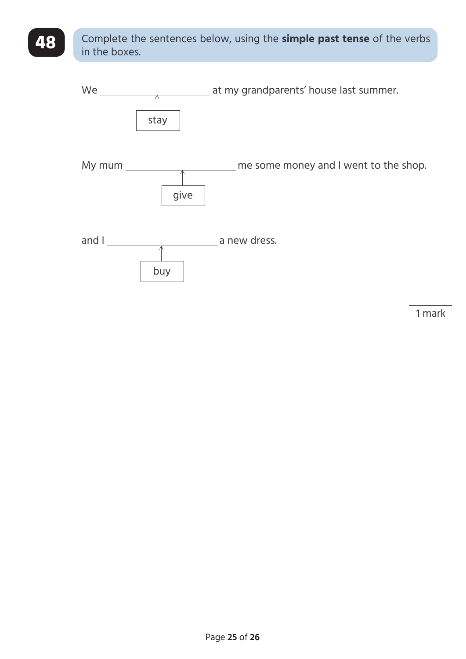### **48** Complete the sentences below, using the **simple past tense** of the verbs in the boxes.